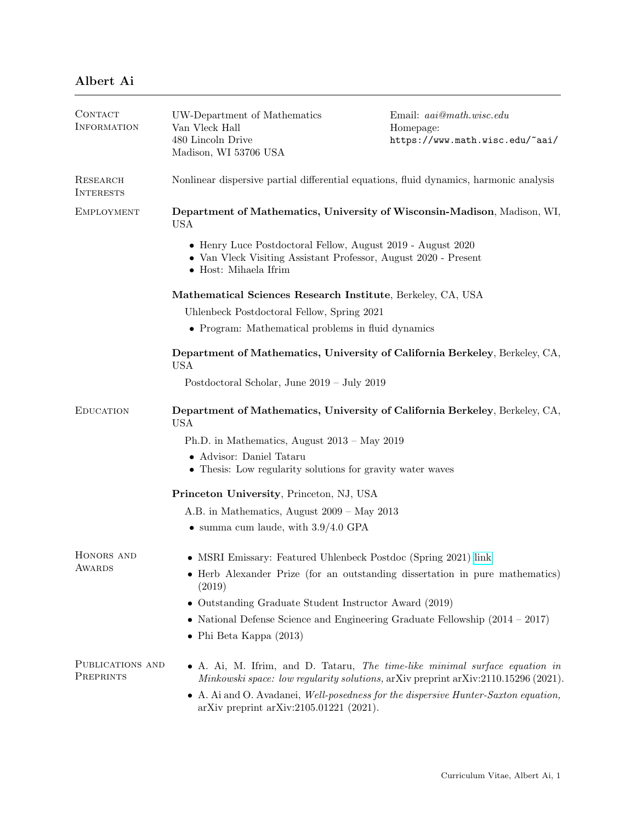| <b>CONTACT</b><br>INFORMATION       | UW-Department of Mathematics<br>Van Vleck Hall                                                                                                          | Email: $aai@math.wisc.edu$<br>Homepage:                                                                                                                           |  |
|-------------------------------------|---------------------------------------------------------------------------------------------------------------------------------------------------------|-------------------------------------------------------------------------------------------------------------------------------------------------------------------|--|
|                                     | 480 Lincoln Drive<br>Madison, WI 53706 USA                                                                                                              | https://www.math.wisc.edu/~aai/                                                                                                                                   |  |
| <b>RESEARCH</b><br><b>INTERESTS</b> | Nonlinear dispersive partial differential equations, fluid dynamics, harmonic analysis                                                                  |                                                                                                                                                                   |  |
| <b>EMPLOYMENT</b>                   | Department of Mathematics, University of Wisconsin-Madison, Madison, WI,<br><b>USA</b>                                                                  |                                                                                                                                                                   |  |
|                                     | • Henry Luce Postdoctoral Fellow, August 2019 - August 2020<br>• Van Vleck Visiting Assistant Professor, August 2020 - Present<br>• Host: Mihaela Ifrim |                                                                                                                                                                   |  |
|                                     | Mathematical Sciences Research Institute, Berkeley, CA, USA                                                                                             |                                                                                                                                                                   |  |
|                                     | Uhlenbeck Postdoctoral Fellow, Spring 2021                                                                                                              |                                                                                                                                                                   |  |
|                                     | • Program: Mathematical problems in fluid dynamics                                                                                                      |                                                                                                                                                                   |  |
|                                     | Department of Mathematics, University of California Berkeley, Berkeley, CA,<br><b>USA</b>                                                               |                                                                                                                                                                   |  |
|                                     | Postdoctoral Scholar, June 2019 - July 2019                                                                                                             |                                                                                                                                                                   |  |
| <b>EDUCATION</b>                    | Department of Mathematics, University of California Berkeley, Berkeley, CA,<br><b>USA</b>                                                               |                                                                                                                                                                   |  |
|                                     | Ph.D. in Mathematics, August $2013 - May 2019$                                                                                                          |                                                                                                                                                                   |  |
|                                     | • Advisor: Daniel Tataru<br>• Thesis: Low regularity solutions for gravity water waves                                                                  |                                                                                                                                                                   |  |
|                                     | Princeton University, Princeton, NJ, USA                                                                                                                |                                                                                                                                                                   |  |
|                                     | A.B. in Mathematics, August 2009 – May 2013                                                                                                             |                                                                                                                                                                   |  |
|                                     | $\bullet$ summa cum laude, with $3.9/4.0$ GPA                                                                                                           |                                                                                                                                                                   |  |
| HONORS AND<br>AWARDS                | • MSRI Emissary: Featured Uhlenbeck Postdoc (Spring 2021) link                                                                                          |                                                                                                                                                                   |  |
|                                     | (2019)                                                                                                                                                  | Herb Alexander Prize (for an outstanding dissertation in pure mathematics)                                                                                        |  |
|                                     | Outstanding Graduate Student Instructor Award (2019)<br>$\bullet$                                                                                       |                                                                                                                                                                   |  |
|                                     | • National Defense Science and Engineering Graduate Fellowship $(2014 - 2017)$                                                                          |                                                                                                                                                                   |  |
|                                     | $\bullet$ Phi Beta Kappa (2013)                                                                                                                         |                                                                                                                                                                   |  |
| PUBLICATIONS AND<br>PREPRINTS       |                                                                                                                                                         | • A. Ai, M. Ifrim, and D. Tataru, The time-like minimal surface equation in<br>Minkowski space: low regularity solutions, arXiv preprint arXiv:2110.15296 (2021). |  |
|                                     | $arXiv$ preprint $arXiv:2105.01221$ (2021).                                                                                                             | • A. Ai and O. Avadanei, Well-posedness for the dispersive Hunter-Saxton equation,                                                                                |  |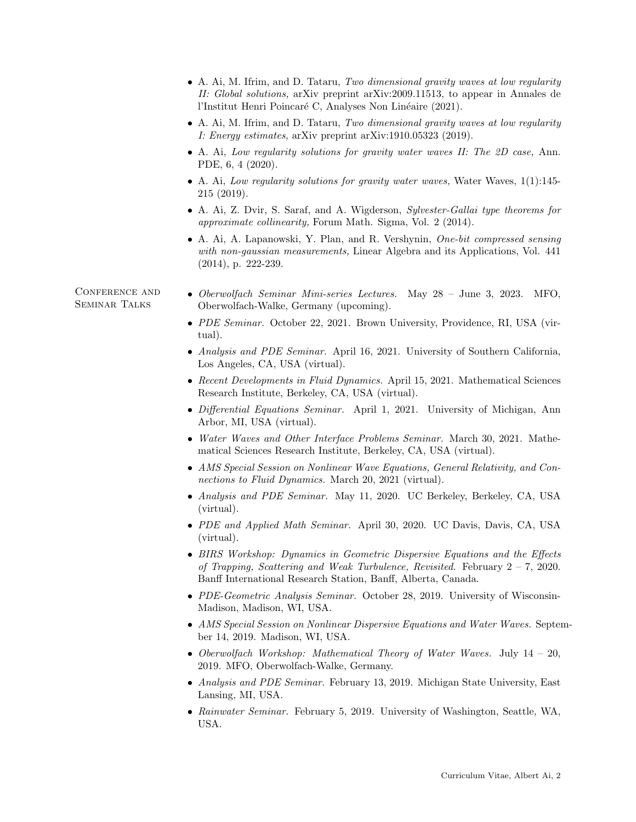|                                 | • A. Ai, M. Ifrim, and D. Tataru, Two dimensional gravity waves at low regularity<br>II: Global solutions, arXiv preprint arXiv:2009.11513, to appear in Annales de<br>l'Institut Henri Poincaré C, Analyses Non Linéaire (2021).                                |  |  |
|---------------------------------|------------------------------------------------------------------------------------------------------------------------------------------------------------------------------------------------------------------------------------------------------------------|--|--|
|                                 | • A. Ai, M. Ifrim, and D. Tataru, Two dimensional gravity waves at low regularity<br><i>I: Energy estimates, arXiv preprint arXiv:1910.05323 (2019).</i><br>• A. Ai, Low regularity solutions for gravity water waves II: The 2D case, Ann.<br>PDE, 6, 4 (2020). |  |  |
|                                 |                                                                                                                                                                                                                                                                  |  |  |
|                                 | • A. Ai, Z. Dvir, S. Saraf, and A. Wigderson, Sylvester-Gallai type theorems for<br>approximate collinearity, Forum Math. Sigma, Vol. 2 (2014).                                                                                                                  |  |  |
|                                 | • A. Ai, A. Lapanowski, Y. Plan, and R. Vershynin, One-bit compressed sensing<br>with non-gaussian measurements, Linear Algebra and its Applications, Vol. 441<br>$(2014)$ , p. 222-239.                                                                         |  |  |
| CONFERENCE AND<br>SEMINAR TALKS | • Oberwolfach Seminar Mini-series Lectures.<br>May $28 - \text{June } 3, 2023. \text{ MFO},$<br>Oberwolfach-Walke, Germany (upcoming).                                                                                                                           |  |  |
|                                 | • PDE Seminar. October 22, 2021. Brown University, Providence, RI, USA (vir-<br>tual).                                                                                                                                                                           |  |  |
|                                 | • Analysis and PDE Seminar. April 16, 2021. University of Southern California,<br>Los Angeles, CA, USA (virtual).                                                                                                                                                |  |  |
|                                 | • Recent Developments in Fluid Dynamics. April 15, 2021. Mathematical Sciences<br>Research Institute, Berkeley, CA, USA (virtual).                                                                                                                               |  |  |
|                                 | • Differential Equations Seminar. April 1, 2021. University of Michigan, Ann<br>Arbor, MI, USA (virtual).                                                                                                                                                        |  |  |
|                                 | • Water Waves and Other Interface Problems Seminar. March 30, 2021. Mathe-<br>matical Sciences Research Institute, Berkeley, CA, USA (virtual).                                                                                                                  |  |  |
|                                 | • AMS Special Session on Nonlinear Wave Equations, General Relativity, and Con-<br>nections to Fluid Dynamics. March 20, 2021 (virtual).                                                                                                                         |  |  |
|                                 | • Analysis and PDE Seminar. May 11, 2020. UC Berkeley, Berkeley, CA, USA<br>(virtual).                                                                                                                                                                           |  |  |
|                                 | • PDE and Applied Math Seminar. April 30, 2020. UC Davis, Davis, CA, USA<br>(virtual).                                                                                                                                                                           |  |  |
|                                 | • BIRS Workshop: Dynamics in Geometric Dispersive Equations and the Effects<br>of Trapping, Scattering and Weak Turbulence, Revisited. February $2 - 7$ , 2020.<br>Banff International Research Station, Banff, Alberta, Canada.                                 |  |  |
|                                 | • PDE-Geometric Analysis Seminar. October 28, 2019. University of Wisconsin-<br>Madison, Madison, WI, USA.                                                                                                                                                       |  |  |
|                                 | • AMS Special Session on Nonlinear Dispersive Equations and Water Waves. Septem-<br>ber 14, 2019. Madison, WI, USA.                                                                                                                                              |  |  |
|                                 | • Oberwolfach Workshop: Mathematical Theory of Water Waves. July $14 - 20$ ,<br>2019. MFO, Oberwolfach-Walke, Germany.                                                                                                                                           |  |  |
|                                 | • Analysis and PDE Seminar. February 13, 2019. Michigan State University, East<br>Lansing, MI, USA.                                                                                                                                                              |  |  |
|                                 | • Rainwater Seminar. February 5, 2019. University of Washington, Seattle, WA,<br>USA.                                                                                                                                                                            |  |  |
|                                 |                                                                                                                                                                                                                                                                  |  |  |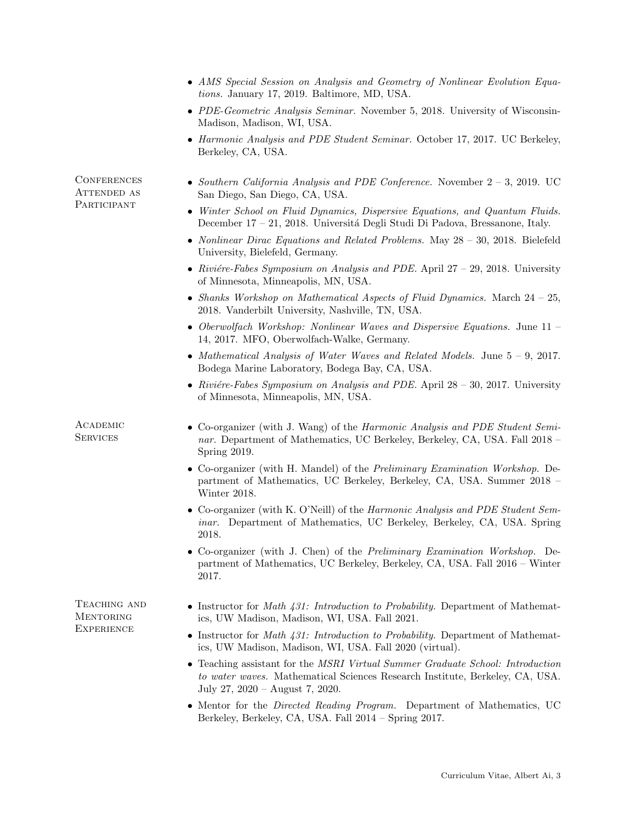|                                           | • AMS Special Session on Analysis and Geometry of Nonlinear Evolution Equa-<br>tions. January 17, 2019. Baltimore, MD, USA.                                                                       |  |  |
|-------------------------------------------|---------------------------------------------------------------------------------------------------------------------------------------------------------------------------------------------------|--|--|
|                                           | • PDE-Geometric Analysis Seminar. November 5, 2018. University of Wisconsin-<br>Madison, Madison, WI, USA.                                                                                        |  |  |
|                                           | • Harmonic Analysis and PDE Student Seminar. October 17, 2017. UC Berkeley,<br>Berkeley, CA, USA.                                                                                                 |  |  |
| CONFERENCES<br>ATTENDED AS<br>PARTICIPANT | • Southern California Analysis and PDE Conference. November $2-3$ , 2019. UC<br>San Diego, San Diego, CA, USA.                                                                                    |  |  |
|                                           | Winter School on Fluid Dynamics, Dispersive Equations, and Quantum Fluids.<br>December 17 – 21, 2018. Universitá Degli Studi Di Padova, Bressanone, Italy.                                        |  |  |
|                                           | • Nonlinear Dirac Equations and Related Problems. May $28 - 30$ , 2018. Bielefeld<br>University, Bielefeld, Germany.                                                                              |  |  |
|                                           | • Riviére-Fabes Symposium on Analysis and PDE. April $27 - 29$ , 2018. University<br>of Minnesota, Minneapolis, MN, USA.                                                                          |  |  |
|                                           | • Shanks Workshop on Mathematical Aspects of Fluid Dynamics. March $24 - 25$ ,<br>2018. Vanderbilt University, Nashville, TN, USA.                                                                |  |  |
|                                           | • Oberwolfach Workshop: Nonlinear Waves and Dispersive Equations. June 11 –<br>14, 2017. MFO, Oberwolfach-Walke, Germany.                                                                         |  |  |
|                                           | • Mathematical Analysis of Water Waves and Related Models. June $5 - 9$ , 2017.<br>Bodega Marine Laboratory, Bodega Bay, CA, USA.                                                                 |  |  |
|                                           | • Riviére-Fabes Symposium on Analysis and PDE. April $28 - 30$ , 2017. University<br>of Minnesota, Minneapolis, MN, USA.                                                                          |  |  |
| ACADEMIC<br><b>SERVICES</b>               | • Co-organizer (with J. Wang) of the <i>Harmonic Analysis and PDE Student Semi</i> -<br>nar. Department of Mathematics, UC Berkeley, Berkeley, CA, USA. Fall 2018 -<br>Spring 2019.               |  |  |
|                                           | • Co-organizer (with H. Mandel) of the <i>Preliminary Examination Workshop.</i> De-<br>partment of Mathematics, UC Berkeley, Berkeley, CA, USA. Summer 2018 -<br>Winter 2018.                     |  |  |
|                                           | • Co-organizer (with K. O'Neill) of the <i>Harmonic Analysis and PDE Student Sem-</i><br><i>inar.</i> Department of Mathematics, UC Berkeley, Berkeley, CA, USA. Spring<br>2018.                  |  |  |
|                                           | • Co-organizer (with J. Chen) of the <i>Preliminary Examination Workshop.</i> De-<br>partment of Mathematics, UC Berkeley, Berkeley, CA, USA. Fall 2016 - Winter<br>2017.                         |  |  |
| TEACHING AND<br>MENTORING<br>EXPERIENCE   | • Instructor for <i>Math 431:</i> Introduction to Probability. Department of Mathemat-<br>ics, UW Madison, Madison, WI, USA. Fall 2021.                                                           |  |  |
|                                           | Instructor for <i>Math 431:</i> Introduction to Probability. Department of Mathemat-<br>ics, UW Madison, Madison, WI, USA. Fall 2020 (virtual).                                                   |  |  |
|                                           | • Teaching assistant for the MSRI Virtual Summer Graduate School: Introduction<br>to water waves. Mathematical Sciences Research Institute, Berkeley, CA, USA.<br>July 27, 2020 – August 7, 2020. |  |  |
|                                           | • Mentor for the <i>Directed Reading Program.</i> Department of Mathematics, UC<br>Berkeley, Berkeley, CA, USA. Fall 2014 - Spring 2017.                                                          |  |  |